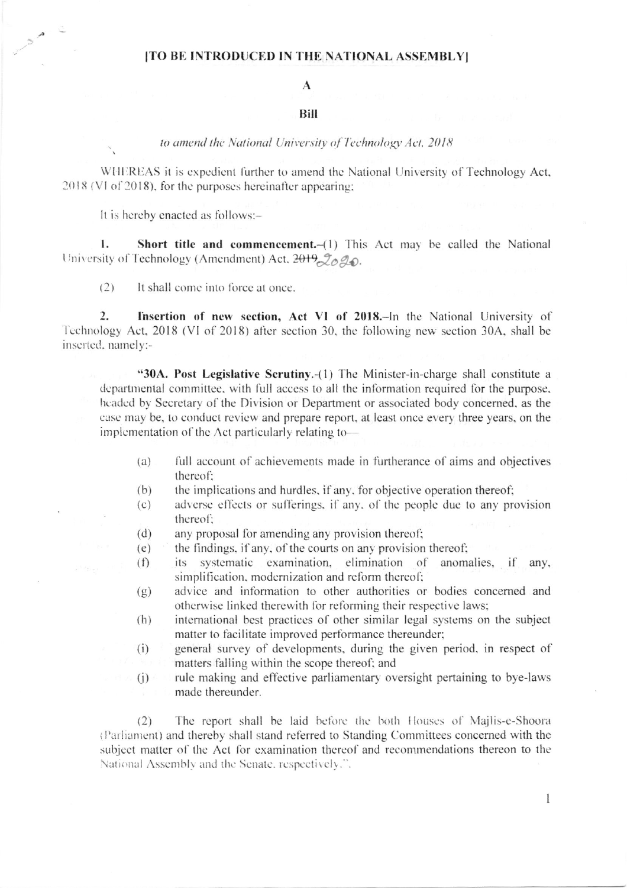#### [TO BE INTRODUCED IN THE NATIONAL ASSEMBLY]

## $\mathbf{A}$

#### Bill

#### to amend the National University of Technology Act, 2018

WHEREAS it is expedient further to amend the National University of Technology Act, 2018 (VI of 2018), for the purposes hereinafter appearing:

It is hereby enacted as follows:-

 $\mathbb{R}^{\mathbb{Z}}$ 

Short title and commencement.-(1) This Act may be called the National  $\mathbf{I}$ . University of Technology (Amendment) Act. 2019, Lo. 20.

 $(2)$ It shall come into force at once.

 $\overline{2}$ . Insertion of new section, Act VI of 2018.-In the National University of Technology Act, 2018 (VI of 2018) after section 30, the following new section 30A, shall be inserted, namely:-

"30A. Post Legislative Scrutiny.-(1) The Minister-in-charge shall constitute a departmental committee, with full access to all the information required for the purpose, headed by Secretary of the Division or Department or associated body concerned, as the case may be, to conduct review and prepare report, at least once every three years, on the implementation of the Act particularly relating to-

- full account of achievements made in furtherance of aims and objectives  $(a)$ thereof:
- the implications and hurdles, if any, for objective operation thereof;  $(b)$
- adverse effects or sufferings, if any, of the people due to any provision  $(c)$ thereof:
- $(d)$ any proposal for amending any provision thereof;
- the findings, if any, of the courts on any provision thereof;  $(e)$
- systematic examination, elimination of anomalies, if any,  $(f)$ its simplification, modernization and reform thereof;
- advice and information to other authorities or bodies concerned and  $(g)$ otherwise linked therewith for reforming their respective laws;
- $(h)$ international best practices of other similar legal systems on the subject matter to facilitate improved performance thereunder;
- general survey of developments, during the given period, in respect of  $(i)$ matters falling within the scope thereof; and
- rule making and effective parliamentary oversight pertaining to bye-laws  $(i)$ made thereunder.

 $(2)$ The report shall be laid before the both Houses of Majlis-e-Shoora (Parliament) and thereby shall stand referred to Standing Committees concerned with the subject matter of the Act for examination thereof and recommendations thereon to the National Assembly and the Senate, respectively.".

 $\mathbf{1}$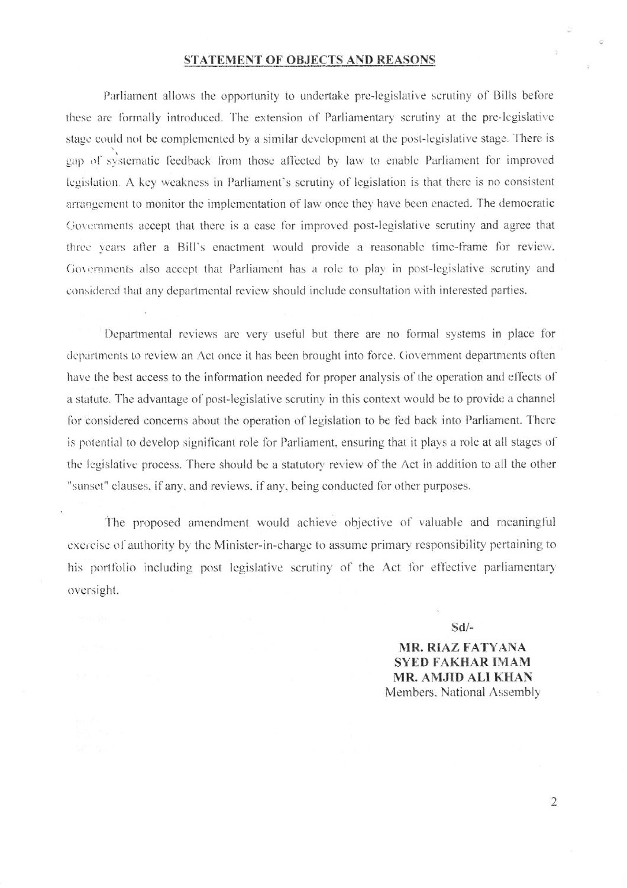### **STATEMENT OF OBJECTS AND REASONS**

Parliament allows the opportunity to undertake pre-legislative scrutiny of Bills before these are formally introduced. The extension of Parliamentary scrutiny at the pre-legislative stage could not be complemented by a similar development at the post-legislative stage. There is gap of systematic feedback from those affected by law to enable Parliament for improved legislation. A key weakness in Parliament's scrutiny of legislation is that there is no consistent arrangement to monitor the implementation of law once they have been enacted. The democratic Governments accept that there is a case for improved post-legislative scrutiny and agree that three years after a Bill's enactment would provide a reasonable time-frame for review. Governments also accept that Parliament has a role to play in post-legislative scrutiny and considered that any departmental review should include consultation with interested parties.

Departmental reviews are very useful but there are no formal systems in place for departments to review an Act once it has been brought into force. Government departments often have the best access to the information needed for proper analysis of the operation and effects of a statute. The advantage of post-legislative scrutiny in this context would be to provide a channel for considered concerns about the operation of legislation to be fed back into Parliament. There is potential to develop significant role for Parliament, ensuring that it plays a role at all stages of the legislative process. There should be a statutory review of the Act in addition to all the other "sunset" clauses, if any, and reviews, if any, being conducted for other purposes.

The proposed amendment would achieve objective of valuable and meaningful exercise of authority by the Minister-in-charge to assume primary responsibility pertaining to his portfolio including post legislative scrutiny of the Act for effective parliamentary oversight.

#### $Sd$ /-

**MR. RIAZ FATYANA SYED FAKHAR IMAM MR. AMJID ALI KHAN** Members, National Assembly

 $\overline{2}$